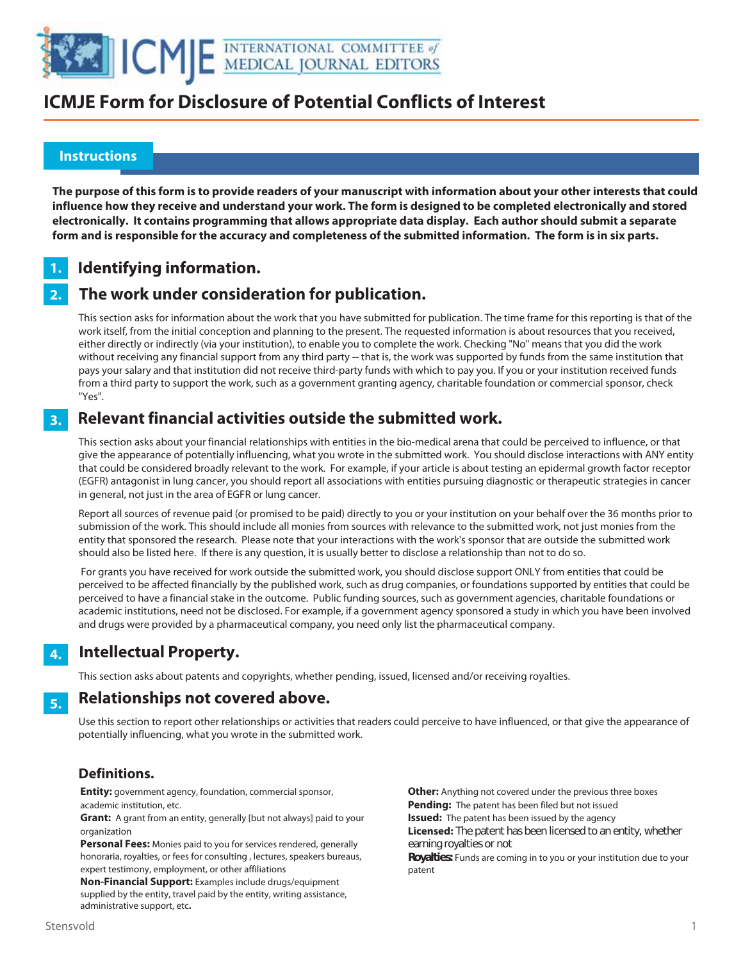

### **Instructions**

l

**The purpose of this form is to provide readers of your manuscript with information about your other interests that could influence how they receive and understand your work. The form is designed to be completed electronically and stored electronically. It contains programming that allows appropriate data display. Each author should submit a separate form and is responsible for the accuracy and completeness of the submitted information. The form is in six parts.** 

### **Identifying information. 1.**

### **The work under consideration for publication. 2.**

This section asks for information about the work that you have submitted for publication. The time frame for this reporting is that of the work itself, from the initial conception and planning to the present. The requested information is about resources that you received, either directly or indirectly (via your institution), to enable you to complete the work. Checking "No" means that you did the work without receiving any financial support from any third party -- that is, the work was supported by funds from the same institution that pays your salary and that institution did not receive third-party funds with which to pay you. If you or your institution received funds from a third party to support the work, such as a government granting agency, charitable foundation or commercial sponsor, check "Yes".

#### **Relevant financial activities outside the submitted work. 3.**

This section asks about your financial relationships with entities in the bio-medical arena that could be perceived to influence, or that give the appearance of potentially influencing, what you wrote in the submitted work. You should disclose interactions with ANY entity that could be considered broadly relevant to the work. For example, if your article is about testing an epidermal growth factor receptor (EGFR) antagonist in lung cancer, you should report all associations with entities pursuing diagnostic or therapeutic strategies in cancer in general, not just in the area of EGFR or lung cancer.

Report all sources of revenue paid (or promised to be paid) directly to you or your institution on your behalf over the 36 months prior to submission of the work. This should include all monies from sources with relevance to the submitted work, not just monies from the entity that sponsored the research. Please note that your interactions with the work's sponsor that are outside the submitted work should also be listed here. If there is any question, it is usually better to disclose a relationship than not to do so.

 For grants you have received for work outside the submitted work, you should disclose support ONLY from entities that could be perceived to be affected financially by the published work, such as drug companies, or foundations supported by entities that could be perceived to have a financial stake in the outcome. Public funding sources, such as government agencies, charitable foundations or academic institutions, need not be disclosed. For example, if a government agency sponsored a study in which you have been involved and drugs were provided by a pharmaceutical company, you need only list the pharmaceutical company.

### **Intellectual Property. 4.**

This section asks about patents and copyrights, whether pending, issued, licensed and/or receiving royalties.

#### **Relationships not covered above. 5.**

Use this section to report other relationships or activities that readers could perceive to have influenced, or that give the appearance of potentially influencing, what you wrote in the submitted work.

### **Definitions.**

**Entity:** government agency, foundation, commercial sponsor, academic institution, etc.

**Grant:** A grant from an entity, generally [but not always] paid to your organization

**Personal Fees:** Monies paid to you for services rendered, generally honoraria, royalties, or fees for consulting , lectures, speakers bureaus, expert testimony, employment, or other affiliations

**Non-Financial Support:** Examples include drugs/equipment supplied by the entity, travel paid by the entity, writing assistance, administrative support, etc**.**

**Other:** Anything not covered under the previous three boxes **Pending:** The patent has been filed but not issued **Issued:** The patent has been issued by the agency **Licensed:** The patent has been licensed to an entity, whether earning royalties or not **Royalties:** Funds are coming in to you or your institution due to your

patent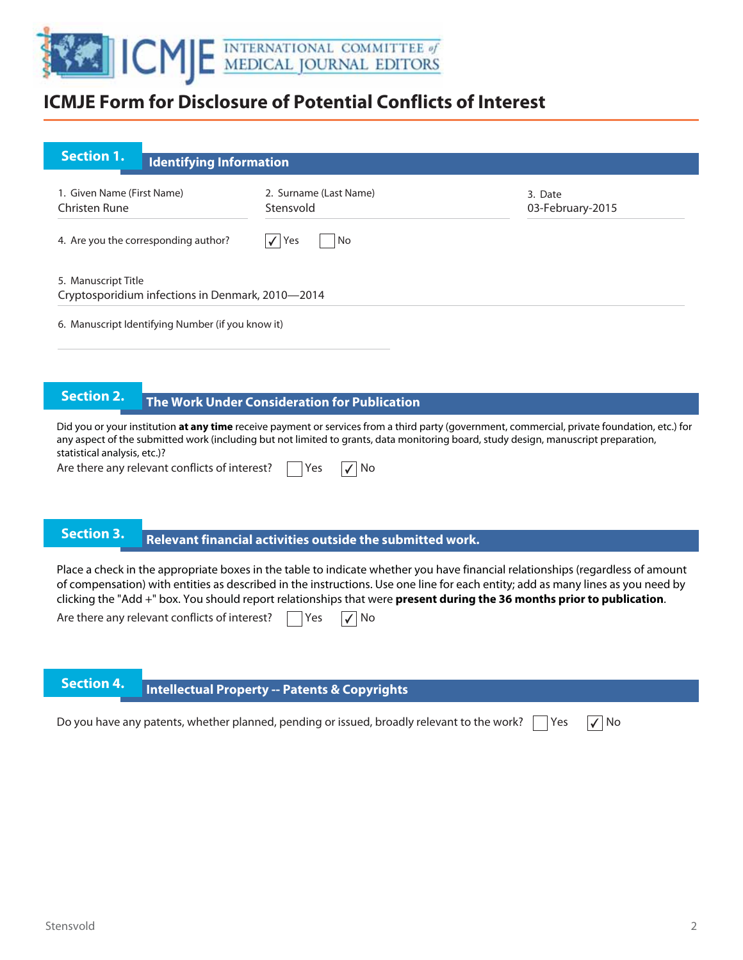

| <b>Section 1.</b>                                  | <b>Identifying Information</b>                    |                                     |                             |
|----------------------------------------------------|---------------------------------------------------|-------------------------------------|-----------------------------|
| 1. Given Name (First Name)<br><b>Christen Rune</b> |                                                   | 2. Surname (Last Name)<br>Stensvold | 3. Date<br>03-February-2015 |
|                                                    | 4. Are you the corresponding author?              | $\sqrt{Y}$ es<br>No                 |                             |
| 5. Manuscript Title                                | Cryptosporidium infections in Denmark, 2010-2014  |                                     |                             |
|                                                    | 6. Manuscript Identifying Number (if you know it) |                                     |                             |

# **The Work Under Consideration for Publication**

Did you or your institution **at any time** receive payment or services from a third party (government, commercial, private foundation, etc.) for any aspect of the submitted work (including but not limited to grants, data monitoring board, study design, manuscript preparation, statistical analysis, etc.)?

Are there any relevant conflicts of interest?  $\Box$  Yes  $\Box$  No

## **Relevant financial activities outside the submitted work. Section 3. Relevant financial activities outset**

Place a check in the appropriate boxes in the table to indicate whether you have financial relationships (regardless of amount of compensation) with entities as described in the instructions. Use one line for each entity; add as many lines as you need by clicking the "Add +" box. You should report relationships that were **present during the 36 months prior to publication**.

Are there any relevant conflicts of interest?  $\Box$  Yes  $\Box$  No

# **Intellectual Property -- Patents & Copyrights**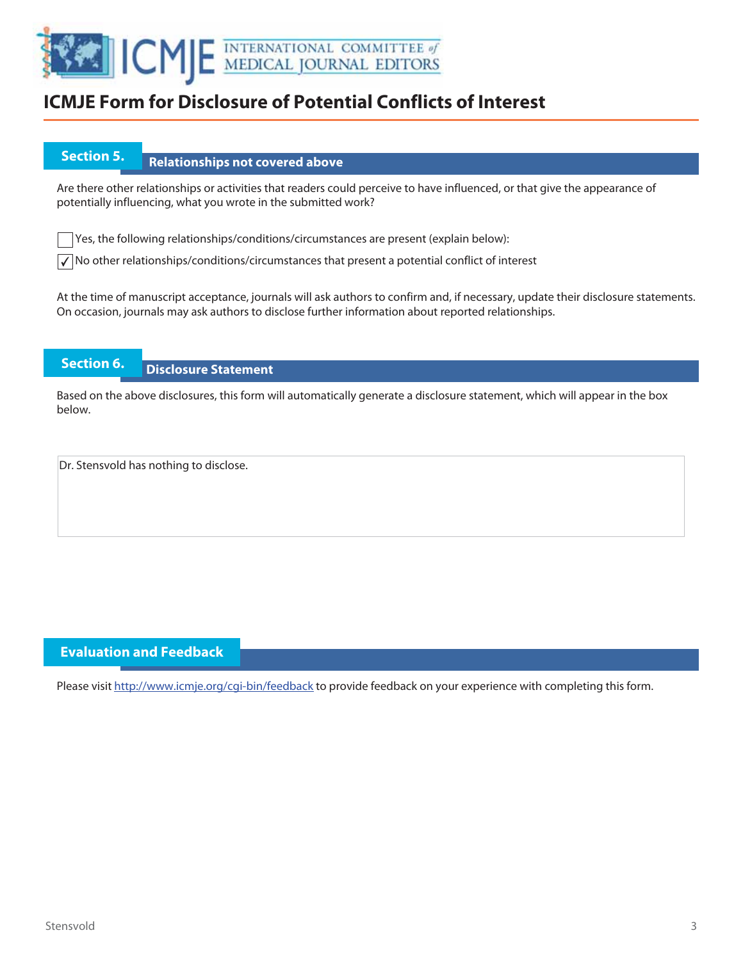

## **Section 5.** Relationships not covered above

Are there other relationships or activities that readers could perceive to have influenced, or that give the appearance of potentially influencing, what you wrote in the submitted work?

Yes, the following relationships/conditions/circumstances are present (explain below):

 $\sqrt{\ }$  No other relationships/conditions/circumstances that present a potential conflict of interest

At the time of manuscript acceptance, journals will ask authors to confirm and, if necessary, update their disclosure statements. On occasion, journals may ask authors to disclose further information about reported relationships.

## **Section 6. Disclosure Statement**

Based on the above disclosures, this form will automatically generate a disclosure statement, which will appear in the box below.

Dr. Stensvold has nothing to disclose.

### **Evaluation and Feedback**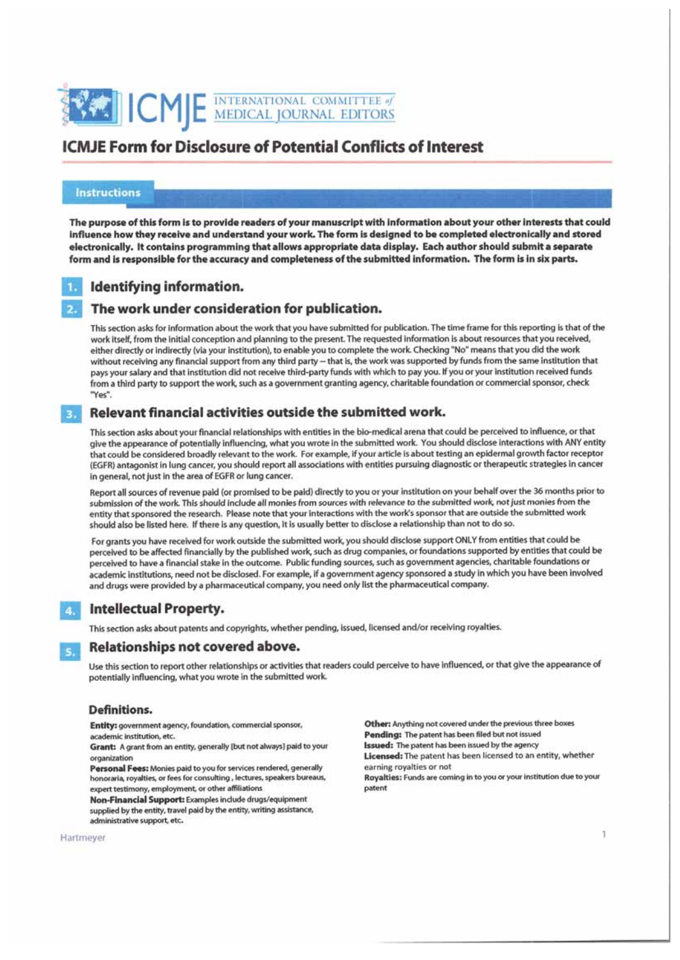

### **Instructions**

The purpose of this form is to provide readers of your manuscript with information about your other interests that could influence how they receive and understand your work. The form is designed to be completed electronically and stored electronically. It contains programming that allows appropriate data display. Each author should submit a separate form and is responsible for the accuracy and completeness of the submitted information. The form is in six parts.

#### 1. **Identifying information.**

### The work under consideration for publication.

This section asks for information about the work that you have submitted for publication. The time frame for this reporting is that of the work itself, from the initial conception and planning to the present. The requested information is about resources that you received, either directly or indirectly (via your institution), to enable you to complete the work. Checking "No" means that you did the work without receiving any financial support from any third party - that is, the work was supported by funds from the same institution that pays your salary and that institution did not receive third-party funds with which to pay you. If you or your institution received funds from a third party to support the work, such as a government granting agency, charitable foundation or commercial sponsor, check "Yes".

#### Relevant financial activities outside the submitted work.  $3.1$

This section asks about your financial relationships with entities in the bio-medical arena that could be perceived to influence, or that give the appearance of potentially influencing, what you wrote in the submitted work. You should disclose interactions with ANY entity that could be considered broadly relevant to the work. For example, if your article is about testing an epidermal growth factor receptor (EGFR) antagonist in lung cancer, you should report all associations with entities pursuing diagnostic or therapeutic strategies in cancer In general, not just in the area of EGFR or lung cancer.

Report all sources of revenue paid (or promised to be paid) directly to you or your institution on your behalf over the 36 months prior to submission of the work. This should include all monies from sources with relevance to the submitted work, not just monies from the entity that sponsored the research. Please note that your interactions with the work's sponsor that are outside the submitted work should also be listed here. If there is any question, it is usually better to disclose a relationship than not to do so.

For grants you have received for work outside the submitted work, you should disclose support ONLY from entities that could be perceived to be affected financially by the published work, such as drug companies, or foundations supported by entities that could be perceived to have a financial stake in the outcome. Public funding sources, such as government agencies, charitable foundations or academic institutions, need not be disclosed. For example, if a government agency sponsored a study in which you have been involved and drugs were provided by a pharmaceutical company, you need only list the pharmaceutical company.

#### **Intellectual Property.**  $\mathbf{A}$

This section asks about patents and copyrights, whether pending, issued, licensed and/or receiving royalties.

### Relationships not covered above.

Use this section to report other relationships or activities that readers could perceive to have influenced, or that give the appearance of potentially influencing, what you wrote in the submitted work.

### **Definitions.**

Entity: government agency, foundation, commercial sponsor, academic institution, etc.

Grant: A grant from an entity, generally [but not always] paid to your organization

Personal Fees: Monies paid to you for services rendered, generally honoraria, royalties, or fees for consulting, lectures, speakers bureaus, expert testimony, employment, or other affiliations

Non-Financial Support: Examples include drugs/equipment supplied by the entity, travel paid by the entity, writing assistance, administrative support, etc.

Other: Anything not covered under the previous three boxes Pending: The patent has been filed but not issued Issued: The patent has been issued by the agency Licensed: The patent has been licensed to an entity, whether earning royalties or not Royalties: Funds are coming in to you or your institution due to your patent

Hartmeyer

 $5.$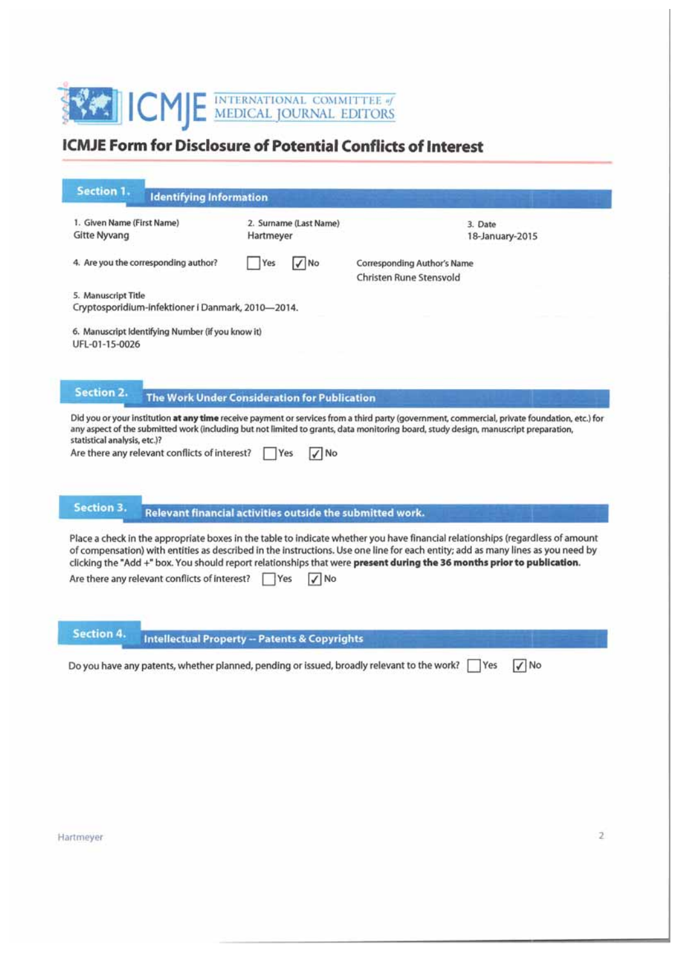

| <b>Section 1.</b><br><b>Identifying Information</b>                                        |                                                                   |                                                                                                                                                                                                                                                                                                                                                                                             |
|--------------------------------------------------------------------------------------------|-------------------------------------------------------------------|---------------------------------------------------------------------------------------------------------------------------------------------------------------------------------------------------------------------------------------------------------------------------------------------------------------------------------------------------------------------------------------------|
| 1. Given Name (First Name)<br>Gitte Nyvang                                                 | 2. Surname (Last Name)<br>Hartmeyer                               | 3. Date<br>18-January-2015                                                                                                                                                                                                                                                                                                                                                                  |
| 4. Are you the corresponding author?                                                       | Yes<br>$\sqrt{}$ No                                               | Corresponding Author's Name<br>Christen Rune Stensvold                                                                                                                                                                                                                                                                                                                                      |
| 5. Manuscript Title<br>Cryptosporidium-infektioner i Danmark, 2010-2014.                   |                                                                   |                                                                                                                                                                                                                                                                                                                                                                                             |
| 6. Manuscript Identifying Number (if you know it)<br>UFL-01-15-0026                        |                                                                   |                                                                                                                                                                                                                                                                                                                                                                                             |
| <b>Section 2.</b>                                                                          |                                                                   |                                                                                                                                                                                                                                                                                                                                                                                             |
| statistical analysis, etc.)?<br>Are there any relevant conflicts of interest?              | The Work Under Consideration for Publication<br>$\sqrt{N}$<br>Yes | Did you or your institution at any time receive payment or services from a third party (government, commercial, private foundation, etc.) for<br>any aspect of the submitted work (including but not limited to grants, data monitoring board, study design, manuscript preparation,                                                                                                        |
| Section 3.                                                                                 | Relevant financial activities outside the submitted work.         |                                                                                                                                                                                                                                                                                                                                                                                             |
| Are there any relevant conflicts of interest?                                              | $J$ No<br>Yes                                                     | Place a check in the appropriate boxes in the table to indicate whether you have financial relationships (regardless of amount<br>of compensation) with entities as described in the instructions. Use one line for each entity; add as many lines as you need by<br>clicking the "Add +" box. You should report relationships that were present during the 36 months prior to publication. |
| <b>Section 4.</b>                                                                          | <b>Intellectual Property -- Patents &amp; Copyrights</b>          |                                                                                                                                                                                                                                                                                                                                                                                             |
| Do you have any patents, whether planned, pending or issued, broadly relevant to the work? |                                                                   | Yes<br>I√∣No                                                                                                                                                                                                                                                                                                                                                                                |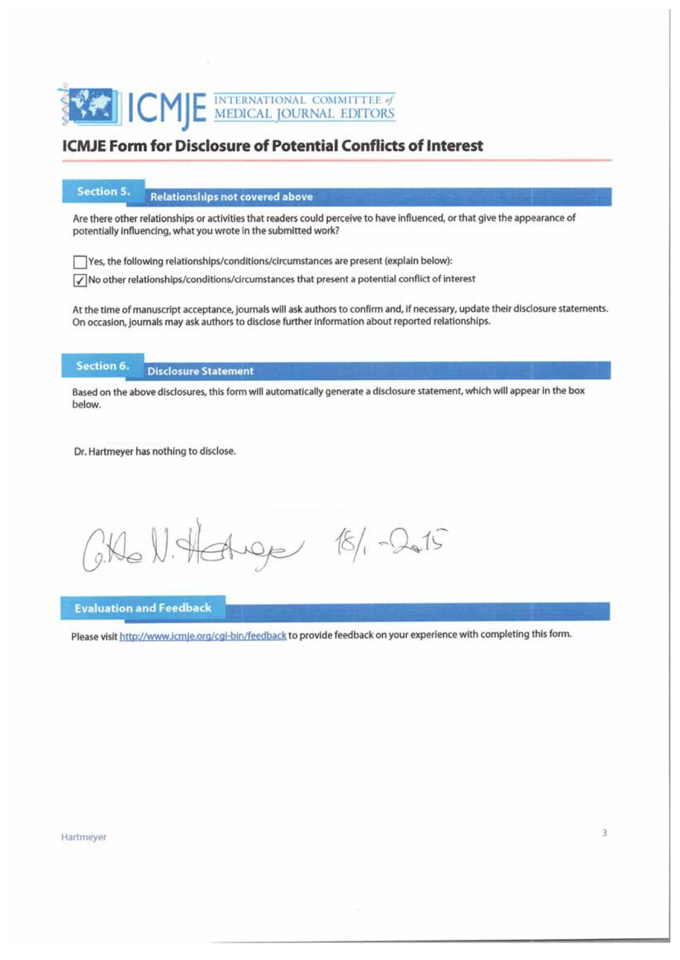

#### Section 5. **Relationships not covered above**

Are there other relationships or activities that readers could perceive to have influenced, or that give the appearance of potentially influencing, what you wrote in the submitted work?

Tyes, the following relationships/conditions/circumstances are present (explain below):

√ No other relationships/conditions/circumstances that present a potential conflict of interest

At the time of manuscript acceptance, journals will ask authors to confirm and, if necessary, update their disclosure statements. On occasion, journals may ask authors to disclose further information about reported relationships.

Section 6.

### **Disclosure Statement**

Based on the above disclosures, this form will automatically generate a disclosure statement, which will appear in the box below.

Dr. Hartmeyer has nothing to disclose.

GNOV. Hetrop 18/1-2015

### **Evaluation and Feedback**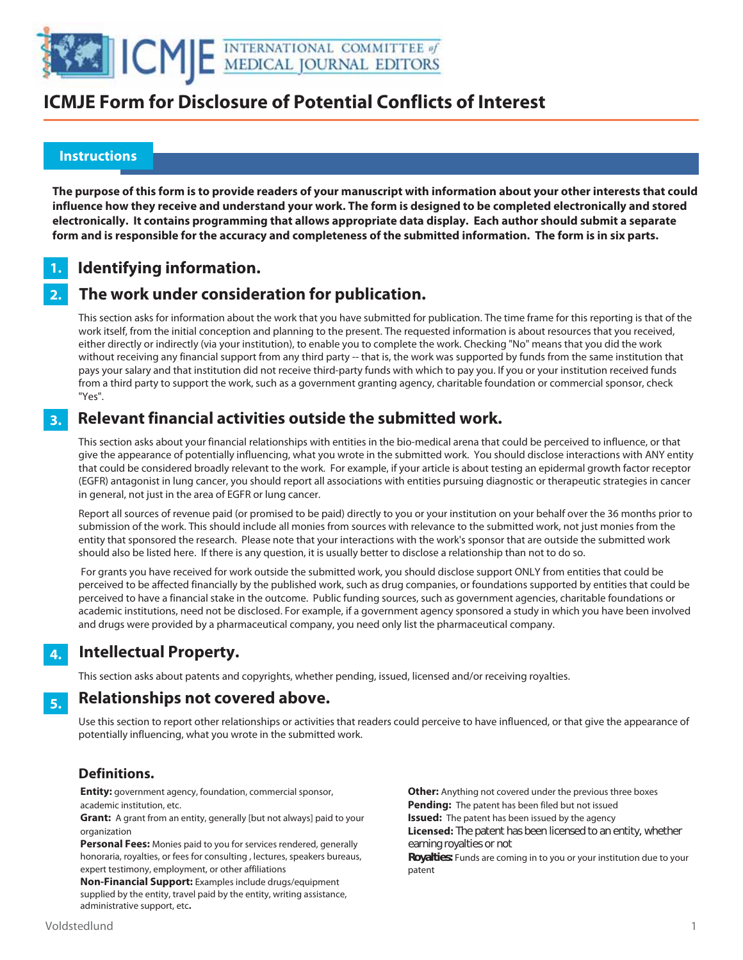

### **Instructions**

l

**The purpose of this form is to provide readers of your manuscript with information about your other interests that could influence how they receive and understand your work. The form is designed to be completed electronically and stored electronically. It contains programming that allows appropriate data display. Each author should submit a separate form and is responsible for the accuracy and completeness of the submitted information. The form is in six parts.** 

### **Identifying information. 1.**

### **The work under consideration for publication. 2.**

This section asks for information about the work that you have submitted for publication. The time frame for this reporting is that of the work itself, from the initial conception and planning to the present. The requested information is about resources that you received, either directly or indirectly (via your institution), to enable you to complete the work. Checking "No" means that you did the work without receiving any financial support from any third party -- that is, the work was supported by funds from the same institution that pays your salary and that institution did not receive third-party funds with which to pay you. If you or your institution received funds from a third party to support the work, such as a government granting agency, charitable foundation or commercial sponsor, check "Yes".

#### **Relevant financial activities outside the submitted work. 3.**

This section asks about your financial relationships with entities in the bio-medical arena that could be perceived to influence, or that give the appearance of potentially influencing, what you wrote in the submitted work. You should disclose interactions with ANY entity that could be considered broadly relevant to the work. For example, if your article is about testing an epidermal growth factor receptor (EGFR) antagonist in lung cancer, you should report all associations with entities pursuing diagnostic or therapeutic strategies in cancer in general, not just in the area of EGFR or lung cancer.

Report all sources of revenue paid (or promised to be paid) directly to you or your institution on your behalf over the 36 months prior to submission of the work. This should include all monies from sources with relevance to the submitted work, not just monies from the entity that sponsored the research. Please note that your interactions with the work's sponsor that are outside the submitted work should also be listed here. If there is any question, it is usually better to disclose a relationship than not to do so.

 For grants you have received for work outside the submitted work, you should disclose support ONLY from entities that could be perceived to be affected financially by the published work, such as drug companies, or foundations supported by entities that could be perceived to have a financial stake in the outcome. Public funding sources, such as government agencies, charitable foundations or academic institutions, need not be disclosed. For example, if a government agency sponsored a study in which you have been involved and drugs were provided by a pharmaceutical company, you need only list the pharmaceutical company.

### **Intellectual Property. 4.**

This section asks about patents and copyrights, whether pending, issued, licensed and/or receiving royalties.

#### **Relationships not covered above. 5.**

Use this section to report other relationships or activities that readers could perceive to have influenced, or that give the appearance of potentially influencing, what you wrote in the submitted work.

### **Definitions.**

**Entity:** government agency, foundation, commercial sponsor, academic institution, etc.

**Grant:** A grant from an entity, generally [but not always] paid to your organization

**Personal Fees:** Monies paid to you for services rendered, generally honoraria, royalties, or fees for consulting , lectures, speakers bureaus, expert testimony, employment, or other affiliations

**Non-Financial Support:** Examples include drugs/equipment supplied by the entity, travel paid by the entity, writing assistance, administrative support, etc**.**

**Other:** Anything not covered under the previous three boxes **Pending:** The patent has been filed but not issued **Issued:** The patent has been issued by the agency **Licensed:** The patent has been licensed to an entity, whether earning royalties or not **Royalties:** Funds are coming in to you or your institution due to your

patent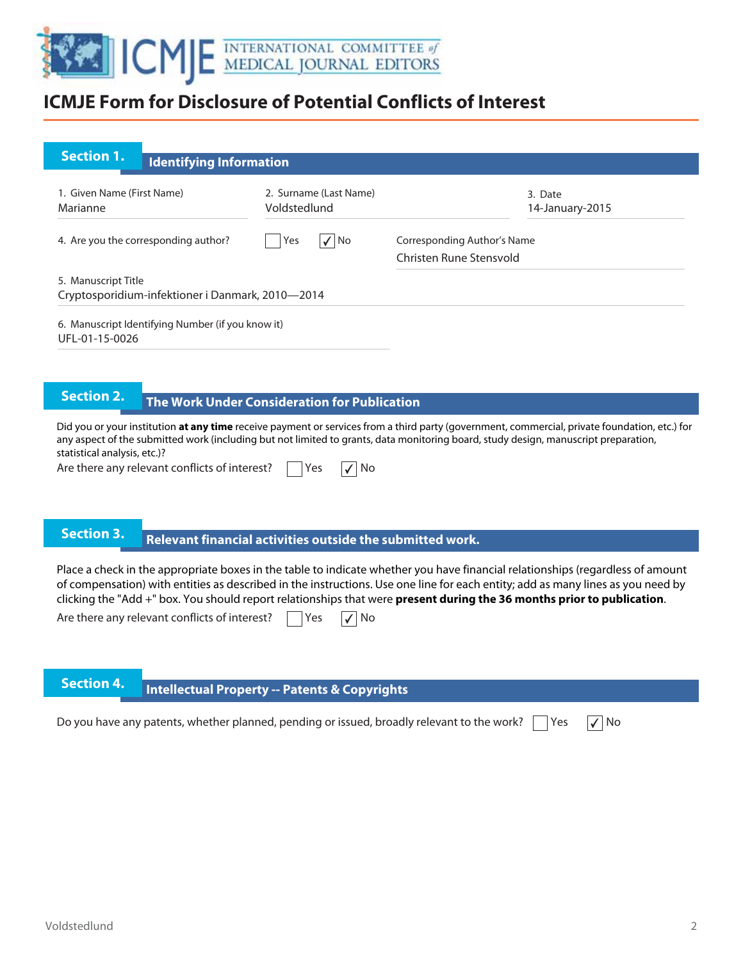

| <b>Section 1.</b>                      | <b>Identifying Information</b>                   |                                        |                                                        |                 |  |  |
|----------------------------------------|--------------------------------------------------|----------------------------------------|--------------------------------------------------------|-----------------|--|--|
| 1. Given Name (First Name)<br>Marianne |                                                  | 2. Surname (Last Name)<br>Voldstedlund | 3. Date                                                | 14-January-2015 |  |  |
|                                        | 4. Are you the corresponding author?             | $\sqrt{ N_{0}}$<br>Yes                 | Corresponding Author's Name<br>Christen Rune Stensvold |                 |  |  |
| 5. Manuscript Title                    | Cryptosporidium-infektioner i Danmark, 2010-2014 |                                        |                                                        |                 |  |  |

UFL-01-15-0026

## **The Work Under Consideration for Publication**

Did you or your institution **at any time** receive payment or services from a third party (government, commercial, private foundation, etc.) for any aspect of the submitted work (including but not limited to grants, data monitoring board, study design, manuscript preparation, statistical analysis, etc.)?

Are there any relevant conflicts of interest?  $\Box$  Yes  $\Box$  No

## **Relevant financial activities outside the submitted work. Section 3. Relevant financial activities outset**

Place a check in the appropriate boxes in the table to indicate whether you have financial relationships (regardless of amount of compensation) with entities as described in the instructions. Use one line for each entity; add as many lines as you need by clicking the "Add +" box. You should report relationships that were **present during the 36 months prior to publication**.

Are there any relevant conflicts of interest?  $\Box$  Yes  $\Box$  No

## **Intellectual Property -- Patents & Copyrights**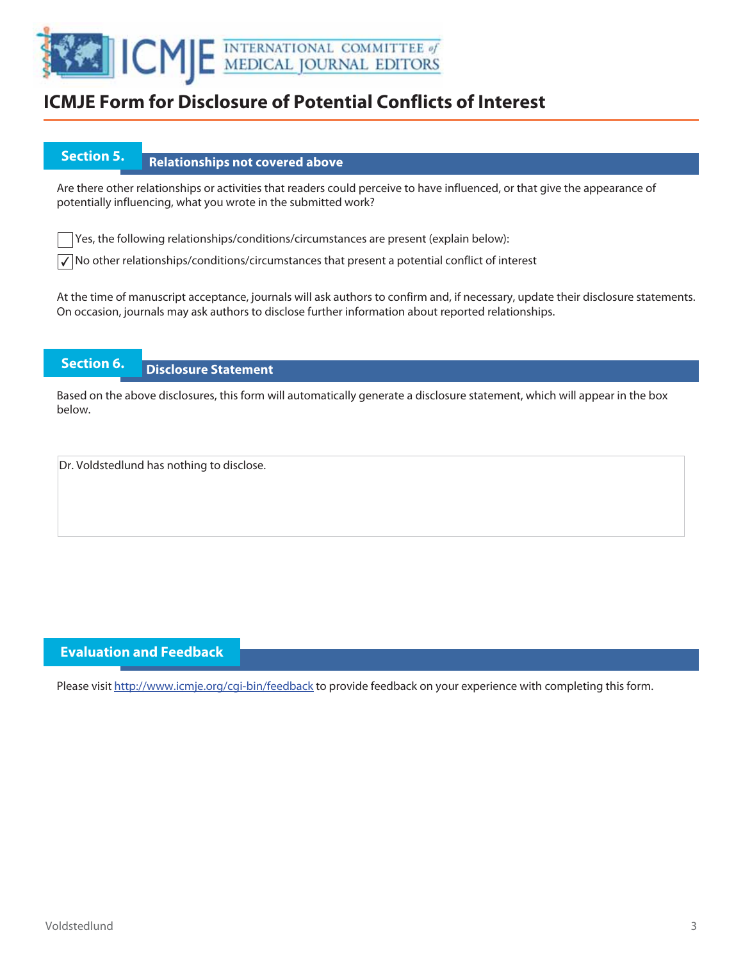

## **Section 5.** Relationships not covered above

Are there other relationships or activities that readers could perceive to have influenced, or that give the appearance of potentially influencing, what you wrote in the submitted work?

Yes, the following relationships/conditions/circumstances are present (explain below):

 $\sqrt{\ }$  No other relationships/conditions/circumstances that present a potential conflict of interest

At the time of manuscript acceptance, journals will ask authors to confirm and, if necessary, update their disclosure statements. On occasion, journals may ask authors to disclose further information about reported relationships.

## **Section 6. Disclosure Statement**

Based on the above disclosures, this form will automatically generate a disclosure statement, which will appear in the box below.

Dr. Voldstedlund has nothing to disclose.

### **Evaluation and Feedback**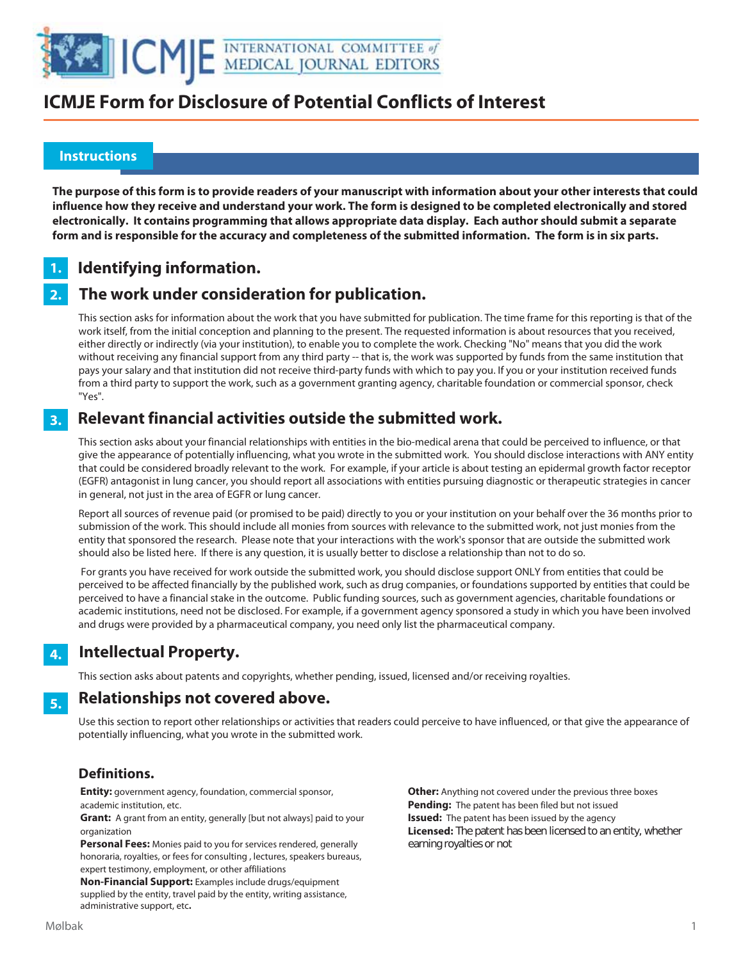

### **Instructions**

l

**The purpose of this form is to provide readers of your manuscript with information about your other interests that could influence how they receive and understand your work. The form is designed to be completed electronically and stored electronically. It contains programming that allows appropriate data display. Each author should submit a separate form and is responsible for the accuracy and completeness of the submitted information. The form is in six parts.** 

### **Identifying information. 1.**

### **The work under consideration for publication. 2.**

This section asks for information about the work that you have submitted for publication. The time frame for this reporting is that of the work itself, from the initial conception and planning to the present. The requested information is about resources that you received, either directly or indirectly (via your institution), to enable you to complete the work. Checking "No" means that you did the work without receiving any financial support from any third party -- that is, the work was supported by funds from the same institution that pays your salary and that institution did not receive third-party funds with which to pay you. If you or your institution received funds from a third party to support the work, such as a government granting agency, charitable foundation or commercial sponsor, check "Yes".

#### **Relevant financial activities outside the submitted work. 3.**

This section asks about your financial relationships with entities in the bio-medical arena that could be perceived to influence, or that give the appearance of potentially influencing, what you wrote in the submitted work. You should disclose interactions with ANY entity that could be considered broadly relevant to the work. For example, if your article is about testing an epidermal growth factor receptor (EGFR) antagonist in lung cancer, you should report all associations with entities pursuing diagnostic or therapeutic strategies in cancer in general, not just in the area of EGFR or lung cancer.

Report all sources of revenue paid (or promised to be paid) directly to you or your institution on your behalf over the 36 months prior to submission of the work. This should include all monies from sources with relevance to the submitted work, not just monies from the entity that sponsored the research. Please note that your interactions with the work's sponsor that are outside the submitted work should also be listed here. If there is any question, it is usually better to disclose a relationship than not to do so.

 For grants you have received for work outside the submitted work, you should disclose support ONLY from entities that could be perceived to be affected financially by the published work, such as drug companies, or foundations supported by entities that could be perceived to have a financial stake in the outcome. Public funding sources, such as government agencies, charitable foundations or academic institutions, need not be disclosed. For example, if a government agency sponsored a study in which you have been involved and drugs were provided by a pharmaceutical company, you need only list the pharmaceutical company.

### **Intellectual Property. 4.**

This section asks about patents and copyrights, whether pending, issued, licensed and/or receiving royalties.

#### **Relationships not covered above. 5.**

Use this section to report other relationships or activities that readers could perceive to have influenced, or that give the appearance of potentially influencing, what you wrote in the submitted work.

### **Definitions.**

**Entity:** government agency, foundation, commercial sponsor, academic institution, etc.

**Grant:** A grant from an entity, generally [but not always] paid to your organization

**Personal Fees:** Monies paid to you for services rendered, generally honoraria, royalties, or fees for consulting , lectures, speakers bureaus, expert testimony, employment, or other affiliations

**Non-Financial Support:** Examples include drugs/equipment supplied by the entity, travel paid by the entity, writing assistance, administrative support, etc**.**

**Other:** Anything not covered under the previous three boxes **Pending:** The patent has been filed but not issued **Issued:** The patent has been issued by the agency **Licensed:** The patent has been licensed to an entity, whether earning royalties or not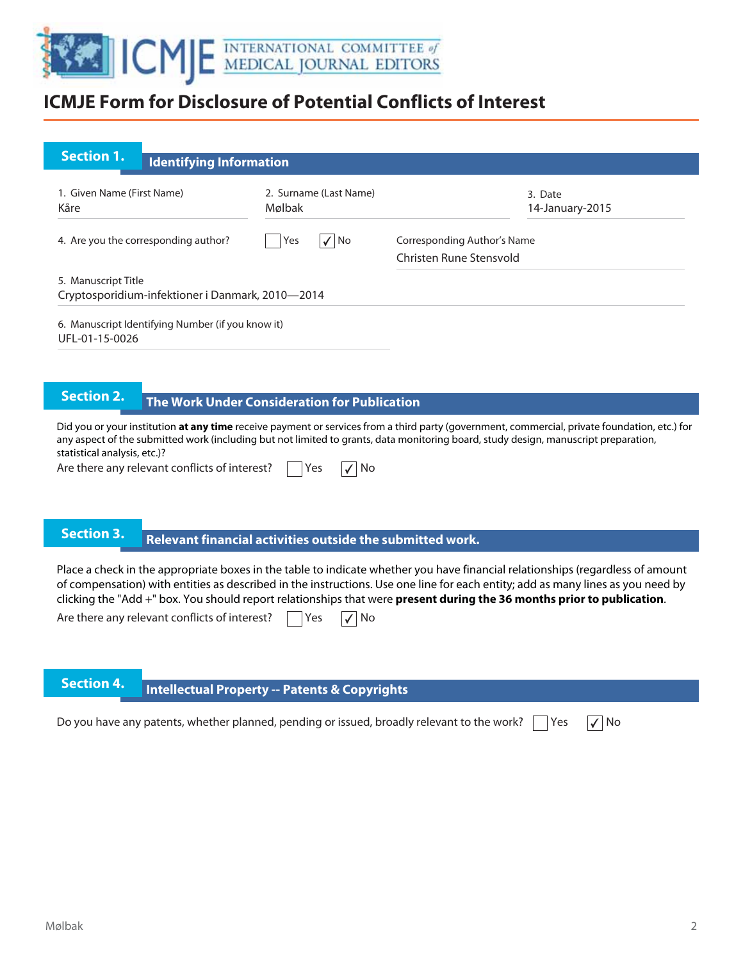

| <b>Section 1.</b>                                                       | <b>Identifying Information</b>   |                                                        |
|-------------------------------------------------------------------------|----------------------------------|--------------------------------------------------------|
| 1. Given Name (First Name)<br>Kåre                                      | 2. Surname (Last Name)<br>Mølbak | 3. Date<br>14-January-2015                             |
| 4. Are you the corresponding author?                                    | $\sqrt{ NQ}$<br>Yes              | Corresponding Author's Name<br>Christen Rune Stensvold |
| 5. Manuscript Title<br>Cryptosporidium-infektioner i Danmark, 2010-2014 |                                  |                                                        |

UFL-01-15-0026

## **The Work Under Consideration for Publication**

Did you or your institution **at any time** receive payment or services from a third party (government, commercial, private foundation, etc.) for any aspect of the submitted work (including but not limited to grants, data monitoring board, study design, manuscript preparation, statistical analysis, etc.)?

Are there any relevant conflicts of interest?  $\Box$  Yes

|  | ۰. |
|--|----|
|--|----|

# **Relevant financial activities outside the submitted work. Section 3. Relevant financial activities outset**

Place a check in the appropriate boxes in the table to indicate whether you have financial relationships (regardless of amount of compensation) with entities as described in the instructions. Use one line for each entity; add as many lines as you need by clicking the "Add +" box. You should report relationships that were **present during the 36 months prior to publication**.

Are there any relevant conflicts of interest?  $\Box$  Yes  $\Box$  No

# **Intellectual Property -- Patents & Copyrights**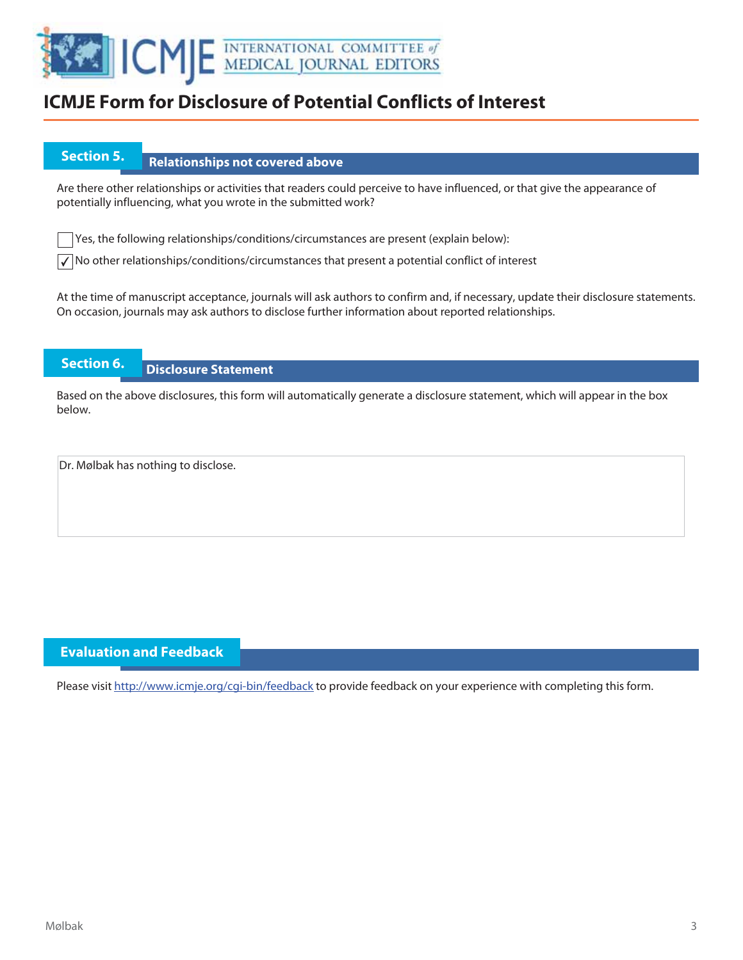

## **Section 5.** Relationships not covered above

Are there other relationships or activities that readers could perceive to have influenced, or that give the appearance of potentially influencing, what you wrote in the submitted work?

Yes, the following relationships/conditions/circumstances are present (explain below):

 $\sqrt{\ }$  No other relationships/conditions/circumstances that present a potential conflict of interest

At the time of manuscript acceptance, journals will ask authors to confirm and, if necessary, update their disclosure statements. On occasion, journals may ask authors to disclose further information about reported relationships.

## **Section 6. Disclosure Statement**

Based on the above disclosures, this form will automatically generate a disclosure statement, which will appear in the box below.

Dr. Mølbak has nothing to disclose.

### **Evaluation and Feedback**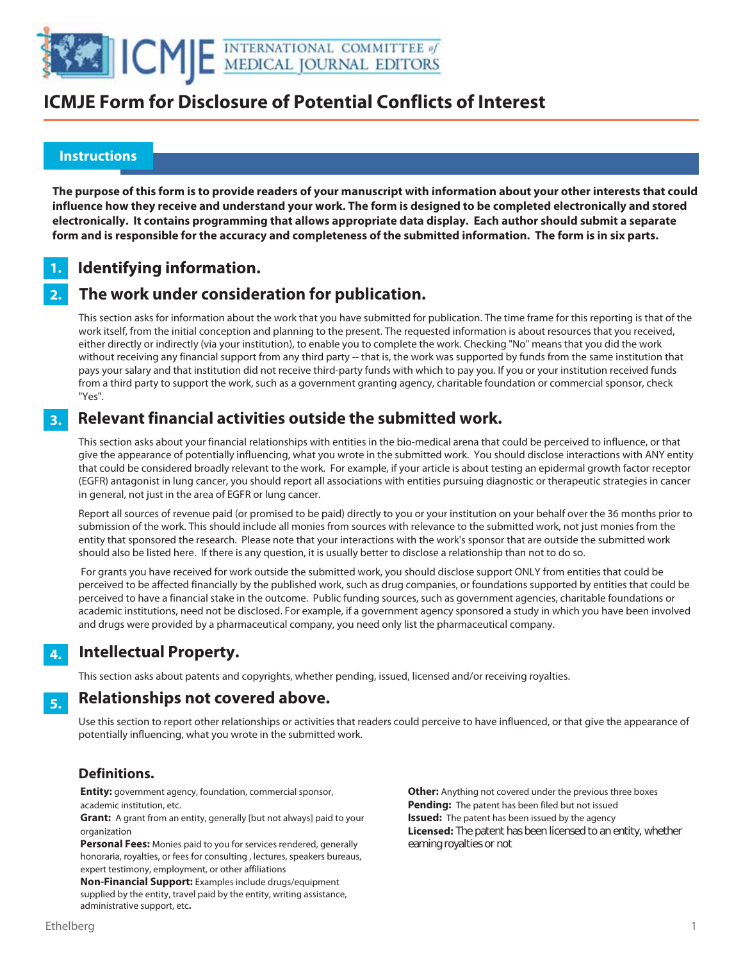

### **Instructions**

l

**The purpose of this form is to provide readers of your manuscript with information about your other interests that could influence how they receive and understand your work. The form is designed to be completed electronically and stored electronically. It contains programming that allows appropriate data display. Each author should submit a separate form and is responsible for the accuracy and completeness of the submitted information. The form is in six parts.** 

### **Identifying information. 1.**

### **The work under consideration for publication. 2.**

This section asks for information about the work that you have submitted for publication. The time frame for this reporting is that of the work itself, from the initial conception and planning to the present. The requested information is about resources that you received, either directly or indirectly (via your institution), to enable you to complete the work. Checking "No" means that you did the work without receiving any financial support from any third party -- that is, the work was supported by funds from the same institution that pays your salary and that institution did not receive third-party funds with which to pay you. If you or your institution received funds from a third party to support the work, such as a government granting agency, charitable foundation or commercial sponsor, check "Yes".

#### **Relevant financial activities outside the submitted work. 3.**

This section asks about your financial relationships with entities in the bio-medical arena that could be perceived to influence, or that give the appearance of potentially influencing, what you wrote in the submitted work. You should disclose interactions with ANY entity that could be considered broadly relevant to the work. For example, if your article is about testing an epidermal growth factor receptor (EGFR) antagonist in lung cancer, you should report all associations with entities pursuing diagnostic or therapeutic strategies in cancer in general, not just in the area of EGFR or lung cancer.

Report all sources of revenue paid (or promised to be paid) directly to you or your institution on your behalf over the 36 months prior to submission of the work. This should include all monies from sources with relevance to the submitted work, not just monies from the entity that sponsored the research. Please note that your interactions with the work's sponsor that are outside the submitted work should also be listed here. If there is any question, it is usually better to disclose a relationship than not to do so.

 For grants you have received for work outside the submitted work, you should disclose support ONLY from entities that could be perceived to be affected financially by the published work, such as drug companies, or foundations supported by entities that could be perceived to have a financial stake in the outcome. Public funding sources, such as government agencies, charitable foundations or academic institutions, need not be disclosed. For example, if a government agency sponsored a study in which you have been involved and drugs were provided by a pharmaceutical company, you need only list the pharmaceutical company.

### **Intellectual Property. 4.**

This section asks about patents and copyrights, whether pending, issued, licensed and/or receiving royalties.

#### **Relationships not covered above. 5.**

Use this section to report other relationships or activities that readers could perceive to have influenced, or that give the appearance of potentially influencing, what you wrote in the submitted work.

### **Definitions.**

**Entity:** government agency, foundation, commercial sponsor, academic institution, etc.

**Grant:** A grant from an entity, generally [but not always] paid to your organization

**Personal Fees:** Monies paid to you for services rendered, generally honoraria, royalties, or fees for consulting , lectures, speakers bureaus, expert testimony, employment, or other affiliations

**Non-Financial Support:** Examples include drugs/equipment supplied by the entity, travel paid by the entity, writing assistance, administrative support, etc**.**

**Other:** Anything not covered under the previous three boxes **Pending:** The patent has been filed but not issued **Issued:** The patent has been issued by the agency **Licensed:** The patent has been licensed to an entity, whether earning royalties or not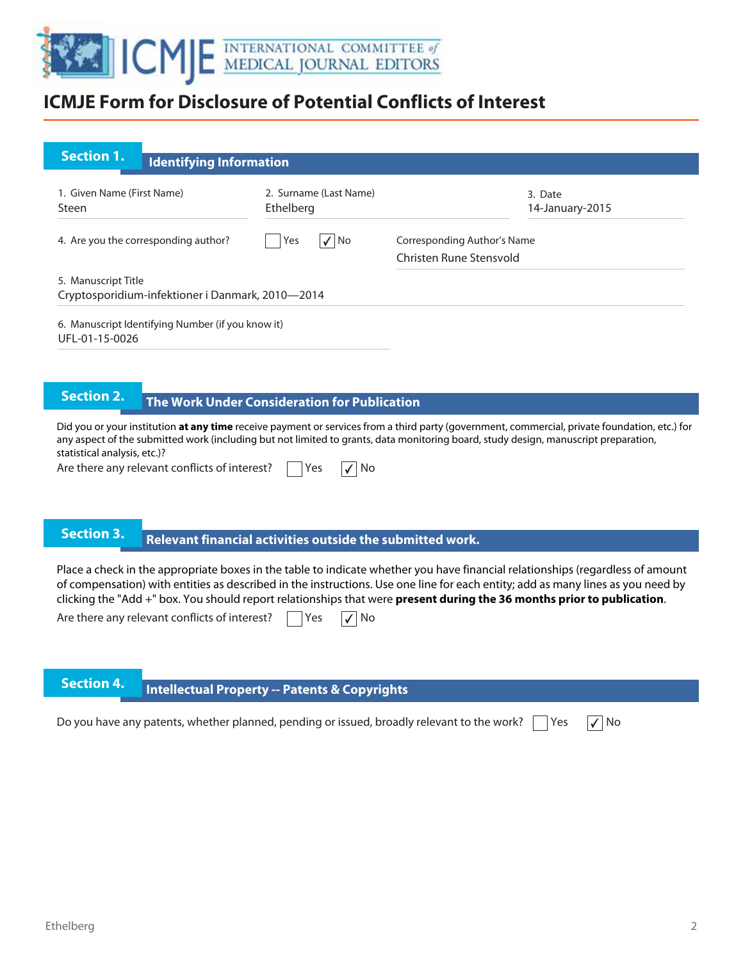

| <b>Section 1.</b>                   | <b>Identifying Information</b>                   |                  |                        |                                                        |                            |
|-------------------------------------|--------------------------------------------------|------------------|------------------------|--------------------------------------------------------|----------------------------|
| 1. Given Name (First Name)<br>Steen |                                                  | <b>Ethelberg</b> | 2. Surname (Last Name) |                                                        | 3. Date<br>14-January-2015 |
|                                     | 4. Are you the corresponding author?             | Yes              | $\sqrt{ N_{0}}$        | Corresponding Author's Name<br>Christen Rune Stensvold |                            |
| 5. Manuscript Title                 | Cryptosporidium-infektioner i Danmark, 2010-2014 |                  |                        |                                                        |                            |

UFL-01-15-0026

# **The Work Under Consideration for Publication**

Did you or your institution **at any time** receive payment or services from a third party (government, commercial, private foundation, etc.) for any aspect of the submitted work (including but not limited to grants, data monitoring board, study design, manuscript preparation, statistical analysis, etc.)?

Are there any relevant conflicts of interest?  $\Box$  Yes

|  | ۰. |
|--|----|
|--|----|

# **Relevant financial activities outside the submitted work. Section 3. Relevant financial activities outset**

Place a check in the appropriate boxes in the table to indicate whether you have financial relationships (regardless of amount of compensation) with entities as described in the instructions. Use one line for each entity; add as many lines as you need by clicking the "Add +" box. You should report relationships that were **present during the 36 months prior to publication**.

Are there any relevant conflicts of interest?  $\Box$  Yes  $\Box$  No

# **Intellectual Property -- Patents & Copyrights**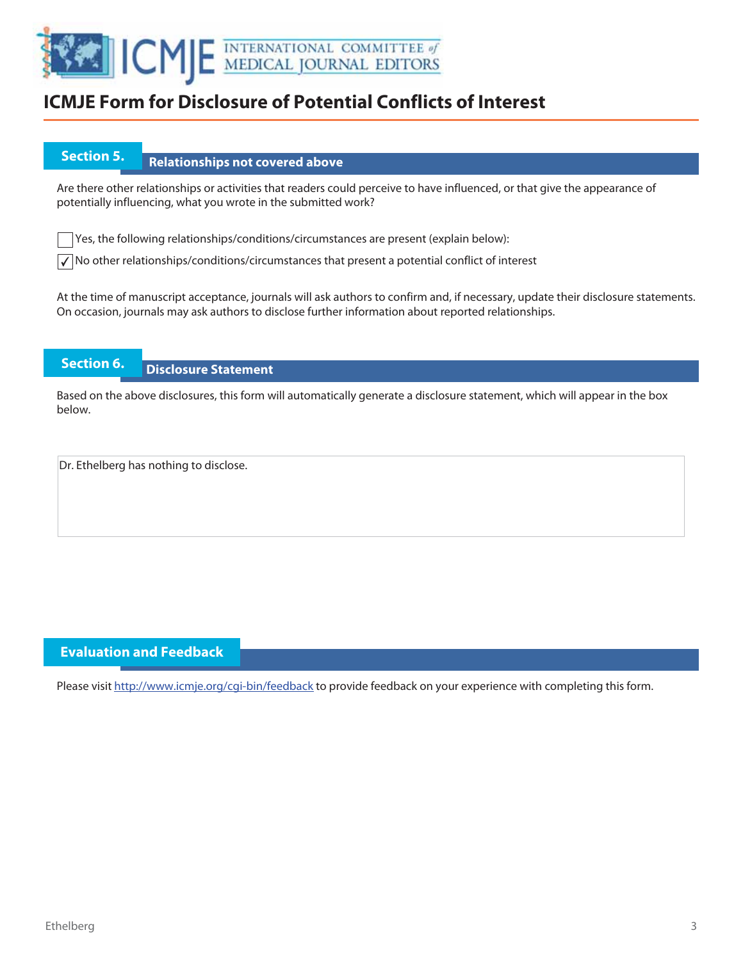

## **Section 5.** Relationships not covered above

Are there other relationships or activities that readers could perceive to have influenced, or that give the appearance of potentially influencing, what you wrote in the submitted work?

Yes, the following relationships/conditions/circumstances are present (explain below):

 $\sqrt{\ }$  No other relationships/conditions/circumstances that present a potential conflict of interest

At the time of manuscript acceptance, journals will ask authors to confirm and, if necessary, update their disclosure statements. On occasion, journals may ask authors to disclose further information about reported relationships.

## **Section 6. Disclosure Statement**

Based on the above disclosures, this form will automatically generate a disclosure statement, which will appear in the box below.

Dr. Ethelberg has nothing to disclose.

### **Evaluation and Feedback**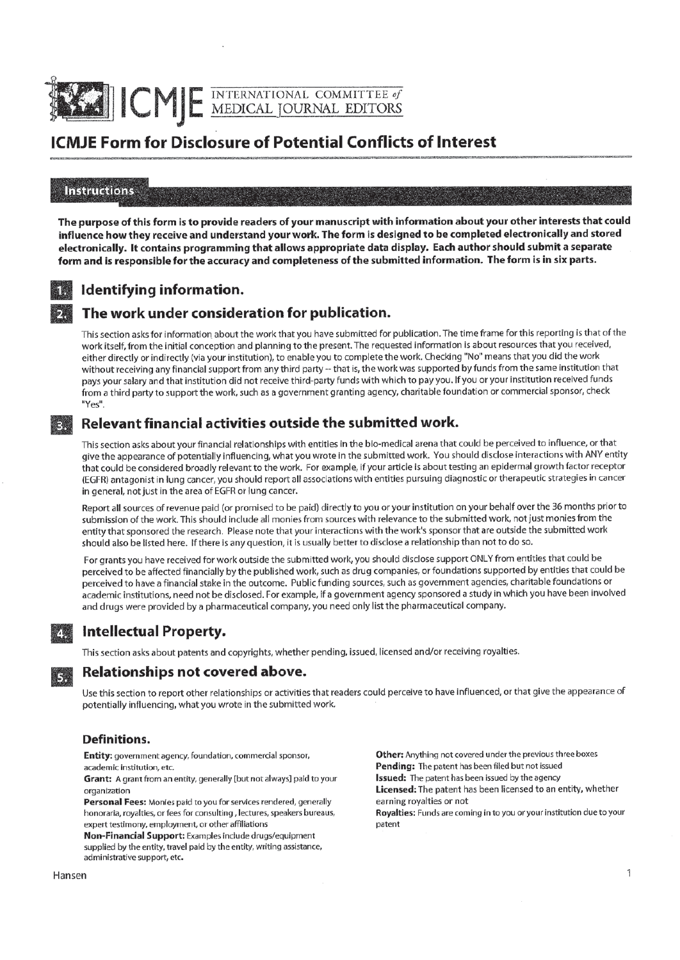

### **Instructions**

The purpose of this form is to provide readers of your manuscript with information about your other interests that could influence how they receive and understand your work. The form is designed to be completed electronically and stored electronically. It contains programming that allows appropriate data display. Each author should submit a separate form and is responsible for the accuracy and completeness of the submitted information. The form is in six parts.

### Identifying information.

## The work under consideration for publication.

This section asks for information about the work that you have submitted for publication. The time frame for this reporting is that of the work itself, from the initial conception and planning to the present. The requested information is about resources that you received, either directly or indirectly (via your institution), to enable you to complete the work. Checking "No" means that you did the work without receiving any financial support from any third party -- that is, the work was supported by funds from the same institution that pays your salary and that institution did not receive third-party funds with which to pay you. If you or your institution received funds from a third party to support the work, such as a government granting agency, charitable foundation or commercial sponsor, check "Yes".

## Relevant financial activities outside the submitted work.

This section asks about your financial relationships with entities in the bio-medical arena that could be perceived to influence, or that give the appearance of potentially influencing, what you wrote in the submitted work. You should disclose interactions with ANY entity that could be considered broadly relevant to the work. For example, if your article is about testing an epidermal growth factor receptor (EGFR) antagonist in lung cancer, you should report all associations with entities pursuing diagnostic or therapeutic strategies in cancer in general, not just in the area of EGFR or lung cancer.

Report all sources of revenue paid (or promised to be paid) directly to you or your institution on your behalf over the 36 months prior to submission of the work. This should include all monies from sources with relevance to the submitted work, not just monies from the entity that sponsored the research. Please note that your interactions with the work's sponsor that are outside the submitted work should also be listed here. If there is any question, it is usually better to disclose a relationship than not to do so.

For grants you have received for work outside the submitted work, you should disclose support ONLY from entities that could be perceived to be affected financially by the published work, such as drug companies, or foundations supported by entities that could be perceived to have a financial stake in the outcome. Public funding sources, such as government agencies, charitable foundations or academic institutions, need not be disclosed. For example, if a government agency sponsored a study in which you have been involved and drugs were provided by a pharmaceutical company, you need only list the pharmaceutical company.

### Intellectual Property.

This section asks about patents and copyrights, whether pending, issued, licensed and/or receiving royalties.

### Relationships not covered above.

Use this section to report other relationships or activities that readers could perceive to have influenced, or that give the appearance of potentially influencing, what you wrote in the submitted work.

### **Definitions.**

Entity: government agency, foundation, commercial sponsor, academic institution, etc.

Grant: A grant from an entity, generally [but not always] paid to your organization

Personal Fees: Monies paid to you for services rendered, generally honoraria, royalties, or fees for consulting, lectures, speakers bureaus, expert testimony, employment, or other affiliations

Non-Financial Support: Examples include drugs/equipment supplied by the entity, travel paid by the entity, writing assistance, administrative support, etc.

Other: Anything not covered under the previous three boxes Pending: The patent has been filed but not issued Issued: The patent has been issued by the agency Licensed: The patent has been licensed to an entity, whether earning royalties or not Royalties: Funds are coming in to you or your institution due to your patent

「「飛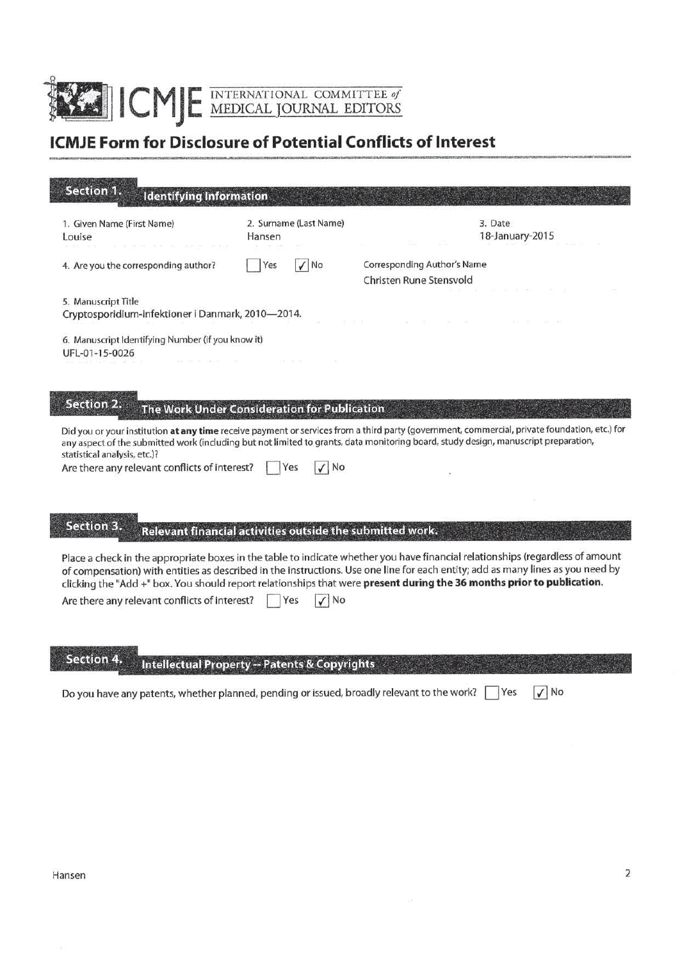

| Section 1.<br><b>Identifying Information</b>                             |                                                           |                                                                                                                                                                                                                                                                                                                                                                                             |
|--------------------------------------------------------------------------|-----------------------------------------------------------|---------------------------------------------------------------------------------------------------------------------------------------------------------------------------------------------------------------------------------------------------------------------------------------------------------------------------------------------------------------------------------------------|
| 1. Given Name (First Name)<br>Louise                                     | 2. Surname (Last Name)<br>Hansen                          | 3. Date<br>18-January-2015                                                                                                                                                                                                                                                                                                                                                                  |
| 4. Are you the corresponding author?                                     | $\sqrt{N}$<br>Yes                                         | Corresponding Author's Name<br>Christen Rune Stensvold                                                                                                                                                                                                                                                                                                                                      |
| 5. Manuscript Title<br>Cryptosporidium-infektioner i Danmark, 2010-2014. |                                                           |                                                                                                                                                                                                                                                                                                                                                                                             |
| 6. Manuscript Identifying Number (if you know it)<br>UFL-01-15-0026      |                                                           |                                                                                                                                                                                                                                                                                                                                                                                             |
| <b>Section 2.</b>                                                        | The Work Under Consideration for Publication              |                                                                                                                                                                                                                                                                                                                                                                                             |
| statistical analysis, etc.)?                                             |                                                           | Did you or your institution at any time receive payment or services from a third party (government, commercial, private foundation, etc.) for<br>any aspect of the submitted work (including but not limited to grants, data monitoring board, study design, manuscript preparation,                                                                                                        |
| Are there any relevant conflicts of interest?                            | No<br>Yes                                                 |                                                                                                                                                                                                                                                                                                                                                                                             |
|                                                                          |                                                           |                                                                                                                                                                                                                                                                                                                                                                                             |
| <b>Section 3.</b>                                                        | Relevant financial activities outside the submitted work. |                                                                                                                                                                                                                                                                                                                                                                                             |
|                                                                          |                                                           | Place a check in the appropriate boxes in the table to indicate whether you have financial relationships (regardless of amount<br>of compensation) with entities as described in the instructions. Use one line for each entity; add as many lines as you need by<br>clicking the "Add +" box. You should report relationships that were present during the 36 months prior to publication. |
| Are there any relevant conflicts of interest?                            | No<br>Yes                                                 |                                                                                                                                                                                                                                                                                                                                                                                             |
| Section 4.                                                               |                                                           |                                                                                                                                                                                                                                                                                                                                                                                             |
|                                                                          | <b>Intellectual Property -- Patents &amp; Copyrights</b>  |                                                                                                                                                                                                                                                                                                                                                                                             |

Do you have any patents, whether planned, pending or issued, broadly relevant to the work?  $\Box$  Yes  $\Box$  No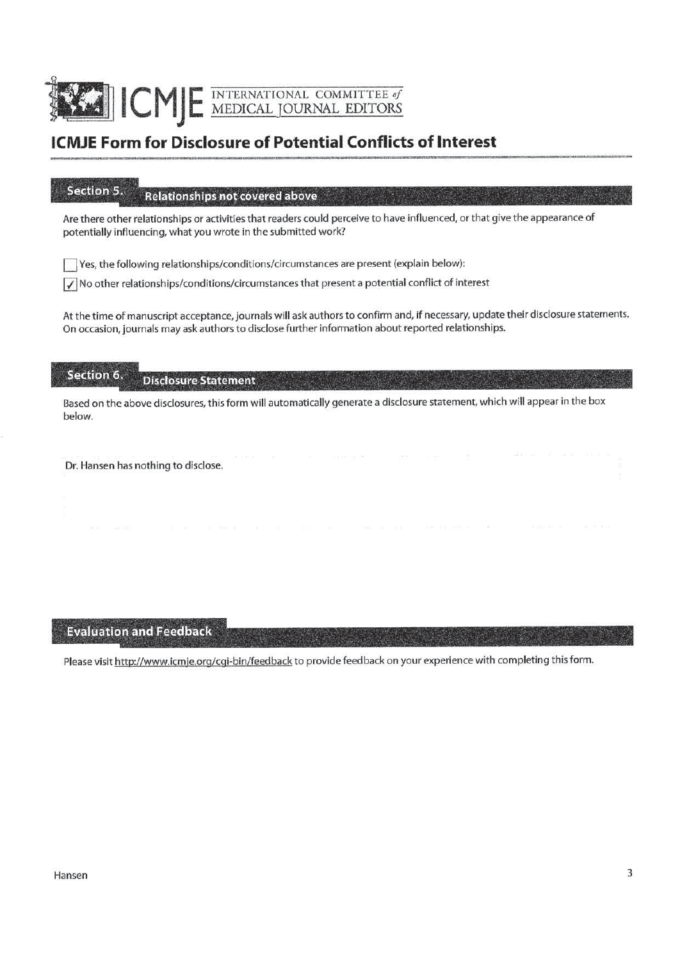

### Section 5. **Relationships not covered above**

Are there other relationships or activities that readers could perceive to have influenced, or that give the appearance of potentially influencing, what you wrote in the submitted work?

Yes, the following relationships/conditions/circumstances are present (explain below):

√ No other relationships/conditions/circumstances that present a potential conflict of interest

At the time of manuscript acceptance, journals will ask authors to confirm and, if necessary, update their disclosure statements. On occasion, journals may ask authors to disclose further information about reported relationships.

#### Section 6. **Disclosure Statement**

Based on the above disclosures, this form will automatically generate a disclosure statement, which will appear in the box below.

Dr. Hansen has nothing to disclose.

### **Evaluation and Feedback**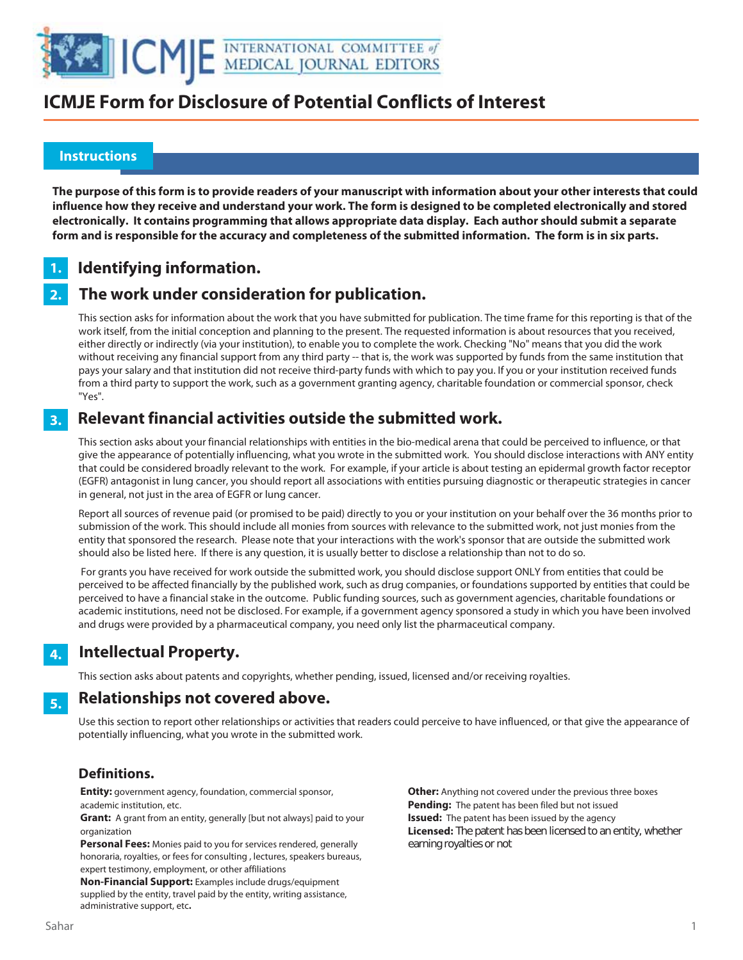

### **Instructions**

l

**The purpose of this form is to provide readers of your manuscript with information about your other interests that could influence how they receive and understand your work. The form is designed to be completed electronically and stored electronically. It contains programming that allows appropriate data display. Each author should submit a separate form and is responsible for the accuracy and completeness of the submitted information. The form is in six parts.** 

### **Identifying information. 1.**

### **The work under consideration for publication. 2.**

This section asks for information about the work that you have submitted for publication. The time frame for this reporting is that of the work itself, from the initial conception and planning to the present. The requested information is about resources that you received, either directly or indirectly (via your institution), to enable you to complete the work. Checking "No" means that you did the work without receiving any financial support from any third party -- that is, the work was supported by funds from the same institution that pays your salary and that institution did not receive third-party funds with which to pay you. If you or your institution received funds from a third party to support the work, such as a government granting agency, charitable foundation or commercial sponsor, check "Yes".

#### **Relevant financial activities outside the submitted work. 3.**

This section asks about your financial relationships with entities in the bio-medical arena that could be perceived to influence, or that give the appearance of potentially influencing, what you wrote in the submitted work. You should disclose interactions with ANY entity that could be considered broadly relevant to the work. For example, if your article is about testing an epidermal growth factor receptor (EGFR) antagonist in lung cancer, you should report all associations with entities pursuing diagnostic or therapeutic strategies in cancer in general, not just in the area of EGFR or lung cancer.

Report all sources of revenue paid (or promised to be paid) directly to you or your institution on your behalf over the 36 months prior to submission of the work. This should include all monies from sources with relevance to the submitted work, not just monies from the entity that sponsored the research. Please note that your interactions with the work's sponsor that are outside the submitted work should also be listed here. If there is any question, it is usually better to disclose a relationship than not to do so.

 For grants you have received for work outside the submitted work, you should disclose support ONLY from entities that could be perceived to be affected financially by the published work, such as drug companies, or foundations supported by entities that could be perceived to have a financial stake in the outcome. Public funding sources, such as government agencies, charitable foundations or academic institutions, need not be disclosed. For example, if a government agency sponsored a study in which you have been involved and drugs were provided by a pharmaceutical company, you need only list the pharmaceutical company.

### **Intellectual Property. 4.**

This section asks about patents and copyrights, whether pending, issued, licensed and/or receiving royalties.

#### **Relationships not covered above. 5.**

Use this section to report other relationships or activities that readers could perceive to have influenced, or that give the appearance of potentially influencing, what you wrote in the submitted work.

### **Definitions.**

**Entity:** government agency, foundation, commercial sponsor, academic institution, etc.

**Grant:** A grant from an entity, generally [but not always] paid to your organization

**Personal Fees:** Monies paid to you for services rendered, generally honoraria, royalties, or fees for consulting , lectures, speakers bureaus, expert testimony, employment, or other affiliations

**Non-Financial Support:** Examples include drugs/equipment supplied by the entity, travel paid by the entity, writing assistance, administrative support, etc**.**

**Other:** Anything not covered under the previous three boxes **Pending:** The patent has been filed but not issued **Issued:** The patent has been issued by the agency **Licensed:** The patent has been licensed to an entity, whether earning royalties or not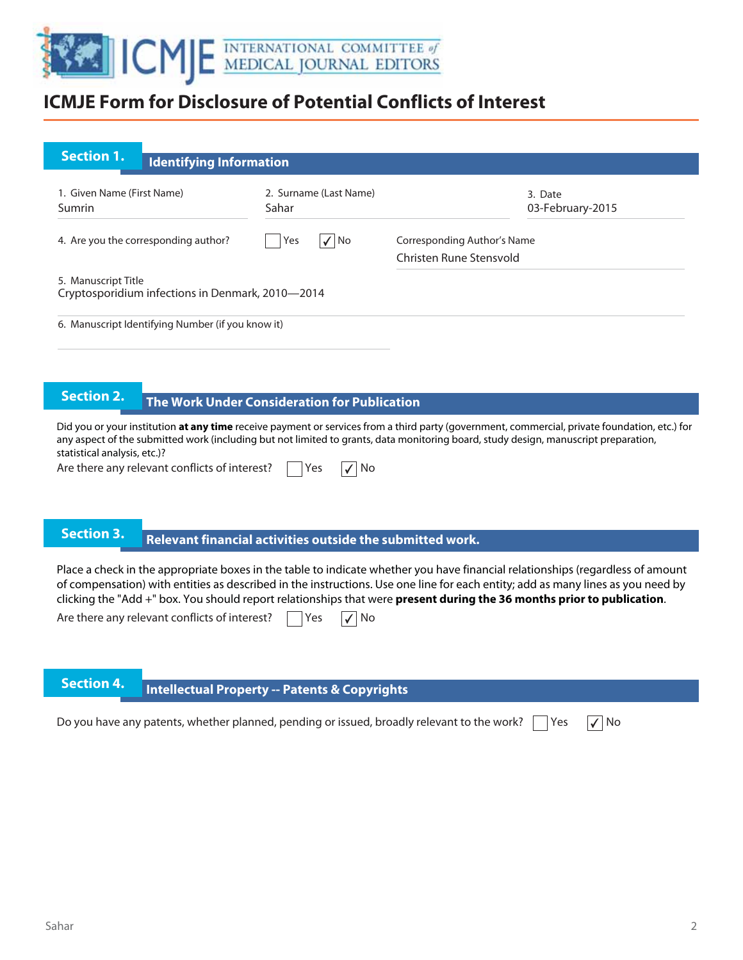

| Section 1.                                        | <b>Identifying Information</b>                   |                                 |                                                        |  |
|---------------------------------------------------|--------------------------------------------------|---------------------------------|--------------------------------------------------------|--|
| 1. Given Name (First Name)<br>Sumrin              |                                                  | 2. Surname (Last Name)<br>Sahar | 3. Date<br>03-February-2015                            |  |
| 4. Are you the corresponding author?              |                                                  | $\sqrt{ N_{0}}$<br>Yes          | Corresponding Author's Name<br>Christen Rune Stensvold |  |
| 5. Manuscript Title                               | Cryptosporidium infections in Denmark, 2010-2014 |                                 |                                                        |  |
| 6. Manuscript Identifying Number (if you know it) |                                                  |                                 |                                                        |  |
|                                                   |                                                  |                                 |                                                        |  |

# **The Work Under Consideration for Publication**

Did you or your institution **at any time** receive payment or services from a third party (government, commercial, private foundation, etc.) for any aspect of the submitted work (including but not limited to grants, data monitoring board, study design, manuscript preparation, statistical analysis, etc.)?

| Are there any relevant conflicts of interest? |  | <b>Yes</b> |  | l√ No |
|-----------------------------------------------|--|------------|--|-------|
|-----------------------------------------------|--|------------|--|-------|

# **Relevant financial activities outside the submitted work. Section 3. Relevant financial activities outset**

Place a check in the appropriate boxes in the table to indicate whether you have financial relationships (regardless of amount of compensation) with entities as described in the instructions. Use one line for each entity; add as many lines as you need by clicking the "Add +" box. You should report relationships that were **present during the 36 months prior to publication**.

Are there any relevant conflicts of interest?  $\Box$  Yes  $\Box$  No

# **Intellectual Property -- Patents & Copyrights**